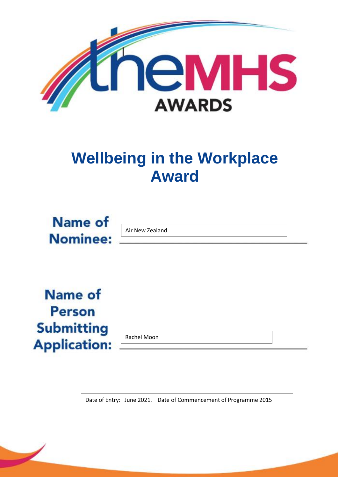

# **Wellbeing in the Workplace Award**



Air New Zealand

**Name of Person Submitting Application:** 

Rachel Moon

Date of Entry: June 2021. Date of Commencement of Programme 2015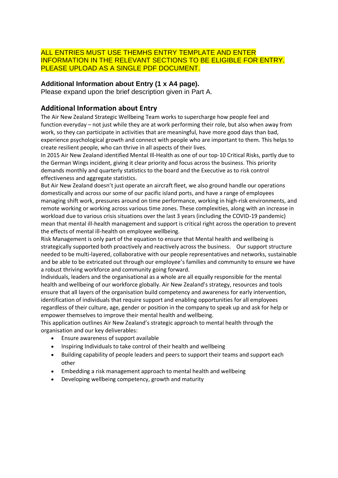### ALL ENTRIES MUST USE THEMHS ENTRY TEMPLATE AND ENTER INFORMATION IN THE RELEVANT SECTIONS TO BE ELIGIBLE FOR ENTRY. PLEASE UPLOAD AS A SINGLE PDF DOCUMENT.

### **Additional Information about Entry (1 x A4 page).**

Please expand upon the brief description given in Part A.

## **Additional Information about Entry**

The Air New Zealand Strategic Wellbeing Team works to supercharge how people feel and function everyday – not just while they are at work performing their role, but also when away from work, so they can participate in activities that are meaningful, have more good days than bad, experience psychological growth and connect with people who are important to them. This helps to create resilient people, who can thrive in all aspects of their lives.

In 2015 Air New Zealand identified Mental Ill-Health as one of our top-10 Critical Risks, partly due to the German Wings incident, giving it clear priority and focus across the business. This priority demands monthly and quarterly statistics to the board and the Executive as to risk control effectiveness and aggregate statistics.

But Air New Zealand doesn't just operate an aircraft fleet, we also ground handle our operations domestically and across our some of our pacific island ports, and have a range of employees managing shift work, pressures around on time performance, working in high-risk environments, and remote working or working across various time zones. These complexities, along with an increase in workload due to various crisis situations over the last 3 years (including the COVID-19 pandemic) mean that mental ill-health management and support is critical right across the operation to prevent the effects of mental ill-health on employee wellbeing.

Risk Management is only part of the equation to ensure that Mental health and wellbeing is strategically supported both proactively and reactively across the business. Our support structure needed to be multi-layered, collaborative with our people representatives and networks, sustainable and be able to be extricated out through our employee's families and community to ensure we have a robust thriving workforce and community going forward.

Individuals, leaders and the organisational as a whole are all equally responsible for the mental health and wellbeing of our workforce globally. Air New Zealand's strategy, resources and tools ensure that all layers of the organisation build competency and awareness for early intervention, identification of individuals that require support and enabling opportunities for all employees regardless of their culture, age, gender or position in the company to speak up and ask for help or empower themselves to improve their mental health and wellbeing.

This application outlines Air New Zealand's strategic approach to mental health through the organisation and our key deliverables:

- Ensure awareness of support available
- Inspiring Individuals to take control of their health and wellbeing
- Building capability of people leaders and peers to support their teams and support each other
- Embedding a risk management approach to mental health and wellbeing
- Developing wellbeing competency, growth and maturity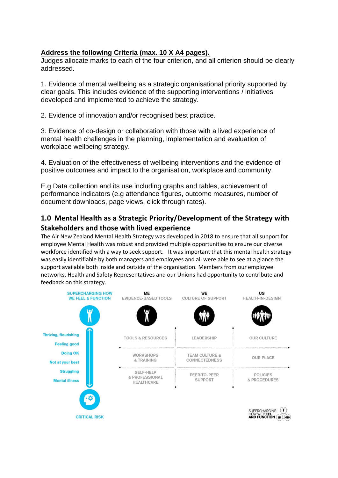## **Address the following Criteria (max. 10 X A4 pages).**

Judges allocate marks to each of the four criterion, and all criterion should be clearly addressed.

1. Evidence of mental wellbeing as a strategic organisational priority supported by clear goals. This includes evidence of the supporting interventions / initiatives developed and implemented to achieve the strategy.

2. Evidence of innovation and/or recognised best practice.

3. Evidence of co-design or collaboration with those with a lived experience of mental health challenges in the planning, implementation and evaluation of workplace wellbeing strategy.

4. Evaluation of the effectiveness of wellbeing interventions and the evidence of positive outcomes and impact to the organisation, workplace and community.

E.g Data collection and its use including graphs and tables, achievement of performance indicators (e.g attendance figures, outcome measures, number of document downloads, page views, click through rates).

## **1.0 Mental Health as a Strategic Priority/Development of the Strategy with Stakeholders and those with lived experience**

The Air New Zealand Mental Health Strategy was developed in 2018 to ensure that all support for employee Mental Health was robust and provided multiple opportunities to ensure our diverse workforce identified with a way to seek support. It was important that this mental health strategy was easily identifiable by both managers and employees and all were able to see at a glance the support available both inside and outside of the organisation. Members from our employee networks, Health and Safety Representatives and our Unions had opportunity to contribute and feedback on this strategy.

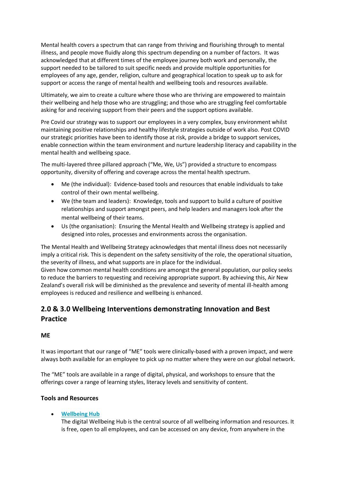Mental health covers a spectrum that can range from thriving and flourishing through to mental illness, and people move fluidly along this spectrum depending on a number of factors. It was acknowledged that at different times of the employee journey both work and personally, the support needed to be tailored to suit specific needs and provide multiple opportunities for employees of any age, gender, religion, culture and geographical location to speak up to ask for support or access the range of mental health and wellbeing tools and resources available.

Ultimately, we aim to create a culture where those who are thriving are empowered to maintain their wellbeing and help those who are struggling; and those who are struggling feel comfortable asking for and receiving support from their peers and the support options available.

Pre Covid our strategy was to support our employees in a very complex, busy environment whilst maintaining positive relationships and healthy lifestyle strategies outside of work also. Post COVID our strategic priorities have been to identify those at risk, provide a bridge to support services, enable connection within the team environment and nurture leadership literacy and capability in the mental health and wellbeing space.

The multi-layered three pillared approach ("Me, We, Us") provided a structure to encompass opportunity, diversity of offering and coverage across the mental health spectrum.

- Me (the individual): Evidence-based tools and resources that enable individuals to take control of their own mental wellbeing.
- We (the team and leaders): Knowledge, tools and support to build a culture of positive relationships and support amongst peers, and help leaders and managers look after the mental wellbeing of their teams.
- Us (the organisation): Ensuring the Mental Health and Wellbeing strategy is applied and designed into roles, processes and environments across the organisation.

The Mental Health and Wellbeing Strategy acknowledges that mental illness does not necessarily imply a critical risk. This is dependent on the safety sensitivity of the role, the operational situation, the severity of illness, and what supports are in place for the individual.

Given how common mental health conditions are amongst the general population, our policy seeks to reduce the barriers to requesting and receiving appropriate support. By achieving this, Air New Zealand's overall risk will be diminished as the prevalence and severity of mental ill-health among employees is reduced and resilience and wellbeing is enhanced.

# **2.0 & 3.0 Wellbeing Interventions demonstrating Innovation and Best Practice**

# **ME**

It was important that our range of "ME" tools were clinically-based with a proven impact, and were always both available for an employee to pick up no matter where they were on our global network.

The "ME" tools are available in a range of digital, physical, and workshops to ensure that the offerings cover a range of learning styles, literacy levels and sensitivity of content.

# **Tools and Resources**

• **[Wellbeing Hub](https://airnz.vitalityhub.co.nz/)**

The digital Wellbeing Hub is the central source of all wellbeing information and resources. It is free, open to all employees, and can be accessed on any device, from anywhere in the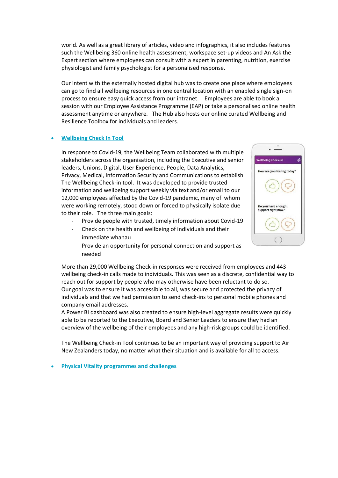world. As well as a great library of articles, video and infographics, it also includes features such the Wellbeing 360 online health assessment, workspace set-up videos and An Ask the Expert section where employees can consult with a expert in parenting, nutrition, exercise physiologist and family psychologist for a personalised response.

Our intent with the externally hosted digital hub was to create one place where employees can go to find all wellbeing resources in one central location with an enabled single sign-on process to ensure easy quick access from our intranet. Employees are able to book a session with our Employee Assistance Programme (EAP) or take a personalised online health assessment anytime or anywhere. The Hub also hosts our online curated Wellbeing and Resilience Toolbox for individuals and leaders.

#### • **Wellbeing Check In Tool**

In response to Covid-19, the Wellbeing Team collaborated with multiple stakeholders across the organisation, including the Executive and senior leaders, Unions, Digital, User Experience, People, Data Analytics, Privacy, Medical, Information Security and Communications to establish The Wellbeing Check-in tool. It was developed to provide trusted information and wellbeing support weekly via text and/or email to our 12,000 employees affected by the Covid-19 pandemic, many of whom were working remotely, stood down or forced to physically isolate due to their role. The three main goals:

- Provide people with trusted, timely information about Covid-19
- Check on the health and wellbeing of individuals and their immediate whanau
- Provide an opportunity for personal connection and support as needed

More than 29,000 Wellbeing Check-in responses were received from employees and 443 wellbeing check-in calls made to individuals. This was seen as a discrete, confidential way to reach out for support by people who may otherwise have been reluctant to do so. Our goal was to ensure it was accessible to all, was secure and protected the privacy of individuals and that we had permission to send check-ins to personal mobile phones and company email addresses.

A Power BI dashboard was also created to ensure high-level aggregate results were quickly able to be reported to the Executive, Board and Senior Leaders to ensure they had an overview of the wellbeing of their employees and any high-risk groups could be identified.

The Wellbeing Check-in Tool continues to be an important way of providing support to Air New Zealanders today, no matter what their situation and is available for all to access.

#### • **Physical Vitality programmes and challenges**

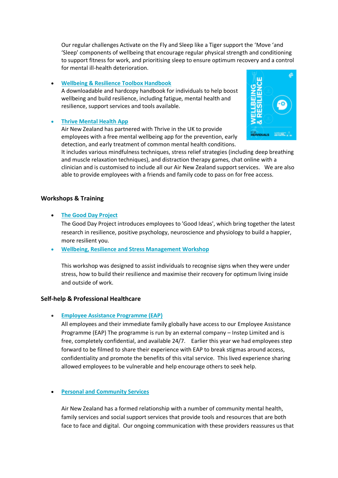Our regular challenges Activate on the Fly and Sleep like a Tiger support the 'Move 'and 'Sleep' components of wellbeing that encourage regular physical strength and conditioning to support fitness for work, and prioritising sleep to ensure optimum recovery and a control for mental ill-health deterioration.

#### • **[Wellbeing & Resilience Toolbox Handbook](https://airnz.vitalityhub.co.nz/file/content/Wellbeing-and-Resilience_INDIVIDUAL-Handbook.pdf)**

A downloadable and hardcopy handbook for individuals to help boost wellbeing and build resilience, including fatigue, mental health and resilience, support services and tools available.

#### • **[Thrive Mental Health App](https://airnz.vitalityhub.co.nz/air-nz-thrive)**

Air New Zealand has partnered with Thrive in the UK to provide employees with a free mental wellbeing app for the prevention, early detection, and early treatment of common mental health conditions.



It includes various mindfulness techniques, stress relief strategies (including deep breathing and muscle relaxation techniques), and distraction therapy games, chat online with a clinician and is customised to include all our Air New Zealand support services. We are also able to provide employees with a friends and family code to pass on for free access.

#### **Workshops & Training**

• **The [Good Day Project](https://airnz.vitalityhub.co.nz/welcome-to-your-mental-health-and-resilience-program-core-ways)**

The Good Day Project introduces employees to 'Good Ideas', which bring together the latest research in resilience, positive psychology, neuroscience and physiology to build a happier, more resilient you.

• **Wellbeing, Resilience and Stress Management Workshop**

This workshop was designed to assist individuals to recognise signs when they were under stress, how to build their resilience and maximise their recovery for optimum living inside and outside of work.

#### **Self-help & Professional Healthcare**

• **[Employee Assistance Programme \(EAP\)](https://new.korunet.co.nz/peoplesafety/risk/health-wellbeing/eap)**

All employees and their immediate family globally have access to our Employee Assistance Programme (EAP) The programme is run by an external company – Instep Limited and is free, completely confidential, and available 24/7. Earlier this year we had employees step forward to be filmed to share their experience with EAP to break stigmas around access, confidentiality and promote the benefits of this vital service. This lived experience sharing allowed employees to be vulnerable and help encourage others to seek help.

#### • **Personal and [Community Services](https://airnz.vitalityhub.co.nz/support-services-airnz)**

Air New Zealand has a formed relationship with a number of community mental health, family services and social support services that provide tools and resources that are both face to face and digital. Our ongoing communication with these providers reassures us that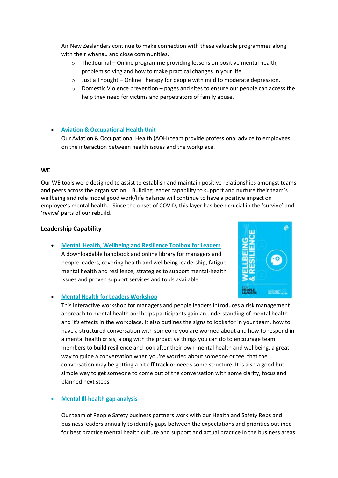Air New Zealanders continue to make connection with these valuable programmes along with their whanau and close communities.

- o The Journal Online programme providing lessons on positive mental health, problem solving and how to make practical changes in your life.
- $\circ$  Just a Thought Online Therapy for people with mild to moderate depression.
- $\circ$  Domestic Violence prevention pages and sites to ensure our people can access the help they need for victims and perpetrators of family abuse.

#### • **[Aviation & Occupational Health Unit](https://korunet.co.nz/dnn6/OurBusinessGroups/AviationMedicine.aspx)**

Our Aviation & Occupational Health (AOH) team provide professional advice to employees on the interaction between health issues and the workplace.

#### **WE**

Our WE tools were designed to assist to establish and maintain positive relationships amongst teams and peers across the organisation. Building leader capability to support and nurture their team's wellbeing and role model good work/life balance will continue to have a positive impact on employee's mental health. Since the onset of COVID, this layer has been crucial in the 'survive' and 'revive' parts of our rebuild.

#### **Leadership Capability**

• **Mental Health, Wellbeing and Resilience Toolbox for Leaders** A downloadable handbook and online library for managers and people leaders, covering health and wellbeing leadership, fatigue, mental health and resilience, strategies to support mental-health issues and proven support services and tools available.



#### • **Mental Health for Leaders Workshop**

This interactive workshop for managers and people leaders introduces a risk management approach to mental health and helps participants gain an understanding of mental health and it's effects in the workplace. It also outlines the signs to looks for in your team, how to have a structured conversation with someone you are worried about and how to respond in a mental health crisis, along with the proactive things you can do to encourage team members to build resilience and look after their own mental health and wellbeing. a great way to guide a conversation when you're worried about someone or feel that the conversation may be getting a bit off track or needs some structure. It is also a good but simple way to get someone to come out of the conversation with some clarity, focus and planned next steps

#### • **Mental Ill-health gap analysis**

Our team of People Safety business partners work with our Health and Safety Reps and business leaders annually to identify gaps between the expectations and priorities outlined for best practice mental health culture and support and actual practice in the business areas.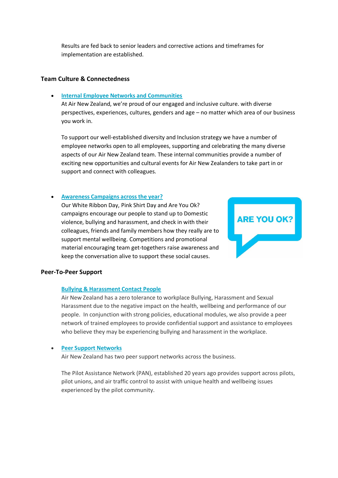Results are fed back to senior leaders and corrective actions and timeframes for implementation are established.

#### **Team Culture & Connectedness**

#### • **[Internal Employee Networks and Communities](https://new.korunet.co.nz/_layouts/15/FIXUPREDIRECT.ASPX?WebId=3ff8c674-39ac-4b07-bcbc-5d3ce946ff4e&TermSetId=effe2351-4263-4e4d-8c39-6e97a9ba4acf&TermId=3726b42f-144f-4ad9-af7a-87f3b076c496)**

At Air New Zealand, we're proud of our engaged and inclusive culture. with diverse perspectives, experiences, cultures, genders and age – no matter which area of our business you work in.

To support our well-established diversity and Inclusion strategy we have a number of employee networks open to all employees, supporting and celebrating the many diverse aspects of our Air New Zealand team. These internal communities provide a number of exciting new opportunities and cultural events for Air New Zealanders to take part in or support and connect with colleagues.

#### • **[Awareness Campaigns across the year?](https://airnz.vitalityhub.co.nz/are-you-ok-airnz)**

Our White Ribbon Day, Pink Shirt Day and Are You Ok? campaigns encourage our people to stand up to Domestic violence, bullying and harassment, and check in with their colleagues, friends and family members how they really are to support mental wellbeing. Competitions and promotional material encouraging team get-togethers raise awareness and keep the conversation alive to support these social causes.



#### **Peer-To-Peer Support**

#### **Bullying & [Harassment Contact People](https://new.korunet.co.nz/peoplesafety/Shared%20Documents/BH%20Contact%20People%20-%20FINAL.pdf)**

Air New Zealand has a zero tolerance to workplace Bullying, Harassment and Sexual Harassment due to the negative impact on the health, wellbeing and performance of our people. In conjunction with strong policies, educational modules, we also provide a peer network of trained employees to provide confidential support and assistance to employees who believe they may be experiencing bullying and harassment in the workplace.

#### • **Peer Support Networks**

Air New Zealand has two peer support networks across the business.

The Pilot Assistance Network (PAN), established 20 years ago provides support across pilots, pilot unions, and air traffic control to assist with unique health and wellbeing issues experienced by the pilot community.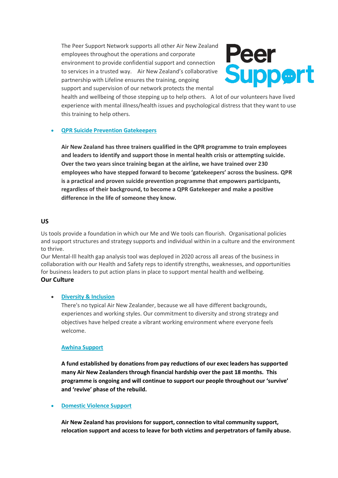The Peer Support Network supports all other Air New Zealand employees throughout the operations and corporate environment to provide confidential support and connection to services in a trusted way. Air New Zealand's collaborative partnership with Lifeline ensures the training, ongoing support and supervision of our network protects the mental



health and wellbeing of those stepping up to help others. A lot of our volunteers have lived experience with mental illness/health issues and psychological distress that they want to use this training to help others.

#### • **QPR Suicide Prevention Gatekeepers**

**Air New Zealand has three trainers qualified in the QPR programme to train employees and leaders to identify and support those in mental health crisis or attempting suicide. Over the two years since training began at the airline, we have trained over 230 employees who have stepped forward to become 'gatekeepers' across the business. QPR is a practical and proven suicide prevention programme that empowers participants, regardless of their background, to become a QPR Gatekeeper and make a positive difference in the life of someone they know.**

#### **US**

Us tools provide a foundation in which our Me and We tools can flourish. Organisational policies and support structures and strategy supports and individual within in a culture and the environment to thrive.

Our Mental-Ill health gap analysis tool was deployed in 2020 across all areas of the business in collaboration with our Health and Safety reps to identify strengths, weaknesses, and opportunities for business leaders to put action plans in place to support mental health and wellbeing.

#### **Our Culture**

#### • **Diversity & Inclusion**

There's no typical Air New Zealander, because we all have different backgrounds, experiences and working styles. Our commitment to diversity and strong strategy and objectives have helped create a vibrant working environment where everyone feels welcome.

#### **Awhina Support**

**A fund established by donations from pay reductions of our exec leaders has supported many Air New Zealanders through financial hardship over the past 18 months. This programme is ongoing and will continue to support our people throughout our 'survive' and 'revive' phase of the rebuild.**

#### • **Domestic Violence Support**

**Air New Zealand has provisions for support, connection to vital community support, relocation support and access to leave for both victims and perpetrators of family abuse.**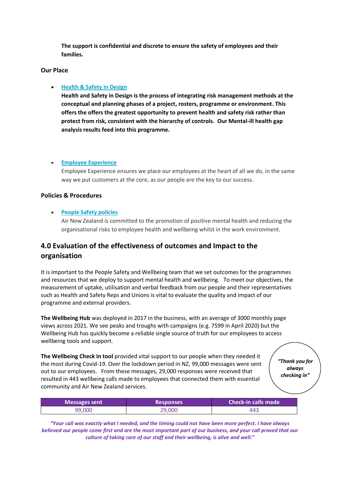**The support is confidential and discrete to ensure the safety of employees and their families.** 

#### **Our Place**

#### • **Health & Safety in Design**

**Health and Safety in Design is the process of integrating risk management methods at the conceptual and planning phases of a project, rosters, programme or environment. This offers the offers the greatest opportunity to prevent health and safety risk rather than protect from risk, consistent with the hierarchy of controls. Our Mental-ill health gap analysis results feed into this programme.**

#### • **Employee Experience**

Employee Experience ensures we place our employees at the heart of all we do, in the same way we put customers at the core, as our people are the key to our success.

#### **Policies & Procedures**

#### • **People Safety policies**

Air New Zealand is committed to the promotion of positive mental health and reducing the organisational risks to employee health and wellbeing whilst in the work environment.

# **4.0 Evaluation of the effectiveness of outcomes and Impact to the organisation**

It is important to the People Safety and Wellbeing team that we set outcomes for the programmes and resources that we deploy to support mental health and wellbeing. To meet our objectives, the measurement of uptake, utilisation and verbal feedback from our people and their representatives such as Health and Safety Reps and Unions is vital to evaluate the quality and impact of our programme and external providers.

**The Wellbeing Hub** was deployed in 2017 in the business, with an average of 3000 monthly page views across 2021. We see peaks and troughs with campaigns (e.g. 7599 in April 2020) but the Wellbeing Hub has quickly become a reliable single source of truth for our employees to access wellbeing tools and support.

**The Wellbeing Check In tool** provided vital support to our people when they needed it the most during Covid-19. Over the lockdown period in NZ, 99,000 messages were sent out to our employees. From these messages, 29,000 responses were received that resulted in 443 wellbeing calls made to employees that connected them with essential community and Air New Zealand services.

*"Thank you for always checking in"*

| <b>Messages sent</b> | <b>Responses</b> | <b>Check-in calls made</b> |
|----------------------|------------------|----------------------------|
| 99.000               | 29,000           | 443                        |

*"Your call was exactly what I needed, and the timing could not have been more perfect. I have always*  believed our people come first and are the most important part of our business, and your call proved that our *culture of taking care of our staff and their wellbeing, is alive and well."*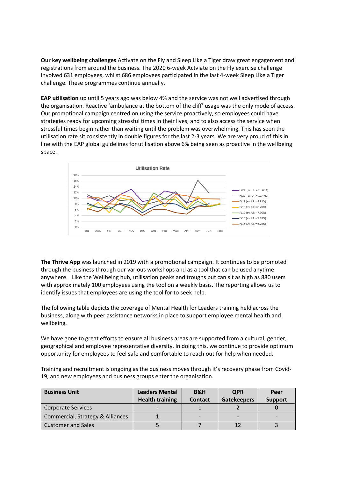**Our key wellbeing challenges** Activate on the Fly and Sleep Like a Tiger draw great engagement and registrations from around the business. The 2020 6-week Actviate on the Fly exercise challenge involved 631 employees, whilst 686 employees participated in the last 4-week Sleep Like a Tiger challenge. These programmes continue annually.

**EAP utilisation** up until 5 years ago was below 4% and the service was not well advertised through the organisation. Reactive 'ambulance at the bottom of the cliff' usage was the only mode of access. Our promotional campaign centred on using the service proactively, so employees could have strategies ready for upcoming stressful times in their lives, and to also access the service when stressful times begin rather than waiting until the problem was overwhelming. This has seen the utilisation rate sit consistently in double figures for the last 2-3 years. We are very proud of this in line with the EAP global guidelines for utilisation above 6% being seen as proactive in the wellbeing space.



**The Thrive App** was launched in 2019 with a promotional campaign. It continues to be promoted through the business through our various workshops and as a tool that can be used anytime anywhere. Like the Wellbeing hub, utilisation peaks and troughs but can sit as high as 880 users with approximately 100 employees using the tool on a weekly basis. The reporting allows us to identify issues that employees are using the tool for to seek help.

The following table depicts the coverage of Mental Health for Leaders training held across the business, along with peer assistance networks in place to support employee mental health and wellbeing.

We have gone to great efforts to ensure all business areas are supported from a cultural, gender, geographical and employee representative diversity. In doing this, we continue to provide optimum opportunity for employees to feel safe and comfortable to reach out for help when needed.

Training and recruitment is ongoing as the business moves through it's recovery phase from Covid-19, and new employees and business groups enter the organisation.

| <b>Business Unit</b>             | <b>Leaders Mental</b><br><b>Health training</b> | B&H<br><b>Contact</b> | <b>QPR</b><br><b>Gatekeepers</b> | Peer<br><b>Support</b> |
|----------------------------------|-------------------------------------------------|-----------------------|----------------------------------|------------------------|
| Corporate Services               |                                                 |                       |                                  |                        |
| Commercial, Strategy & Alliances |                                                 |                       |                                  |                        |
| <b>Customer and Sales</b>        |                                                 |                       | 12                               |                        |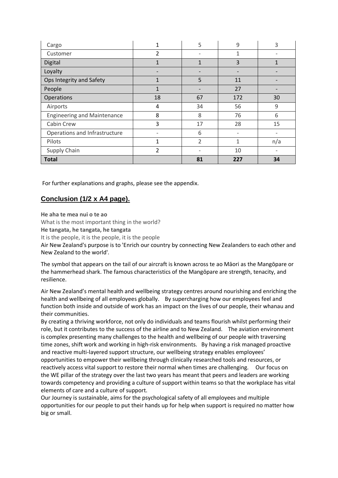| Cargo                              | 1                        | 5                        | 9            | 3   |
|------------------------------------|--------------------------|--------------------------|--------------|-----|
| Customer                           | 2                        |                          | 1            |     |
| Digital                            | 1                        | 1                        | 3            |     |
| Loyalty                            |                          |                          |              |     |
| Ops Integrity and Safety           | 1                        | 5                        | 11           |     |
| People                             | 1                        |                          | 27           |     |
| Operations                         | 18                       | 67                       | 172          | 30  |
| Airports                           | 4                        | 34                       | 56           | 9   |
| <b>Engineering and Maintenance</b> | 8                        | 8                        | 76           | 6   |
| Cabin Crew                         | 3                        | 17                       | 28           | 15  |
| Operations and Infrastructure      | $\overline{\phantom{a}}$ | 6                        |              |     |
| Pilots                             | 1                        | $\overline{\phantom{a}}$ | $\mathbf{1}$ | n/a |
| Supply Chain                       | $\overline{2}$           | $\overline{\phantom{0}}$ | 10           | ٠   |
| <b>Total</b>                       |                          | 81                       | 227          | 34  |

For further explanations and graphs, please see the appendix.

## **Conclusion (1/2 x A4 page).**

**He aha te mea nui o te ao**

What is the most important thing in the world?

**He tangata, he tangata, he tangata**

It is the people, it is the people, it is the people

Air New Zealand's purpose is to 'Enrich our country by connecting New Zealanders to each other and New Zealand to the world'*.*

The symbol that appears on the tail of our aircraft is known across te ao Māori as the Mangōpare or the hammerhead shark. The famous characteristics of the Mangōpare are strength, tenacity, and resilience.

Air New Zealand's mental health and wellbeing strategy centres around nourishing and enriching the health and wellbeing of all employees globally. By supercharging how our employees feel and function both inside and outside of work has an impact on the lives of our people, their whanau and their communities.

By creating a thriving workforce, not only do individuals and teams flourish whilst performing their role, but it contributes to the success of the airline and to New Zealand. The aviation environment is complex presenting many challenges to the health and wellbeing of our people with traversing time zones, shift work and working in high-risk environments. By having a risk managed proactive and reactive multi-layered support structure, our wellbeing strategy enables employees' opportunities to empower their wellbeing through clinically researched tools and resources, or reactively access vital support to restore their normal when times are challenging. Our focus on the WE pillar of the strategy over the last two years has meant that peers and leaders are working towards competency and providing a culture of support within teams so that the workplace has vital elements of care and a culture of support.

Our Journey is sustainable, aims for the psychological safety of all employees and multiple opportunities for our people to put their hands up for help when support is required no matter how big or small.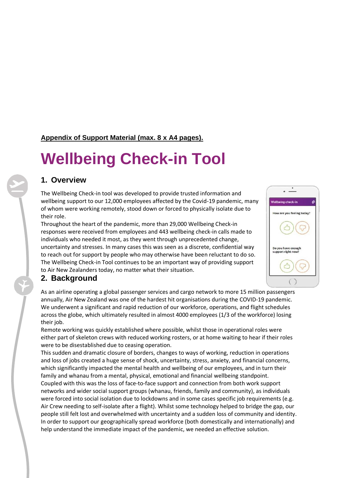## **Appendix of Support Material (max. 8 x A4 pages).**

# **Wellbeing Check-in Tool**

# **1. Overview**

The Wellbeing Check-in tool was developed to provide trusted information and wellbeing support to our 12,000 employees affected by the Covid-19 pandemic, many of whom were working remotely, stood down or forced to physically isolate due to their role.

Throughout the heart of the pandemic, more than 29,000 Wellbeing Check-in responses were received from employees and 443 wellbeing check-in calls made to individuals who needed it most, as they went through unprecedented change, uncertainty and stresses. In many cases this was seen as a discrete, confidential way to reach out for support by people who may otherwise have been reluctant to do so. The Wellbeing Check-in Tool continues to be an important way of providing support to Air New Zealanders today, no matter what their situation.

# **2. Background**

As an airline operating a global passenger services and cargo network to more 15 million passengers annually, Air New Zealand was one of the hardest hit organisations during the COVID-19 pandemic. We underwent a significant and rapid reduction of our workforce, operations, and flight schedules across the globe, which ultimately resulted in almost 4000 employees (1/3 of the workforce) losing their job.

Remote working was quickly established where possible, whilst those in operational roles were either part of skeleton crews with reduced working rosters, or at home waiting to hear if their roles were to be disestablished due to ceasing operation.

This sudden and dramatic closure of borders, changes to ways of working, reduction in operations and loss of jobs created a huge sense of shock, uncertainty, stress, anxiety, and financial concerns, which significantly impacted the mental health and wellbeing of our employees, and in turn their family and whanau from a mental, physical, emotional and financial wellbeing standpoint. Coupled with this was the loss of face-to-face support and connection from both work support networks and wider social support groups (whanau, friends, family and community), as individuals were forced into social isolation due to lockdowns and in some cases specific job requirements (e.g. Air Crew needing to self-isolate after a flight). Whilst some technology helped to bridge the gap, our people still felt lost and overwhelmed with uncertainty and a sudden loss of community and identity. In order to support our geographically spread workforce (both domestically and internationally) and help understand the immediate impact of the pandemic, we needed an effective solution.

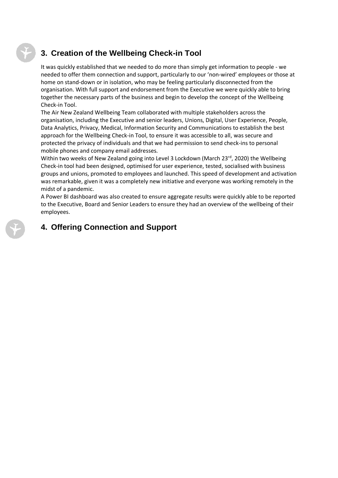# **3. Creation of the Wellbeing Check-in Tool**

It was quickly established that we needed to do more than simply get information to people - we needed to offer them connection and support, particularly to our 'non-wired' employees or those at home on stand-down or in isolation, who may be feeling particularly disconnected from the organisation. With full support and endorsement from the Executive we were quickly able to bring together the necessary parts of the business and begin to develop the concept of the Wellbeing Check-in Tool.

The Air New Zealand Wellbeing Team collaborated with multiple stakeholders across the organisation, including the Executive and senior leaders, Unions, Digital, User Experience, People, Data Analytics, Privacy, Medical, Information Security and Communications to establish the best approach for the Wellbeing Check-in Tool, to ensure it was accessible to all, was secure and protected the privacy of individuals and that we had permission to send check-ins to personal mobile phones and company email addresses.

Within two weeks of New Zealand going into Level 3 Lockdown (March 23rd, 2020) the Wellbeing Check-in tool had been designed, optimised for user experience, tested, socialised with business groups and unions, promoted to employees and launched. This speed of development and activation was remarkable, given it was a completely new initiative and everyone was working remotely in the midst of a pandemic.

A Power BI dashboard was also created to ensure aggregate results were quickly able to be reported to the Executive, Board and Senior Leaders to ensure they had an overview of the wellbeing of their employees.

# **4. Offering Connection and Support**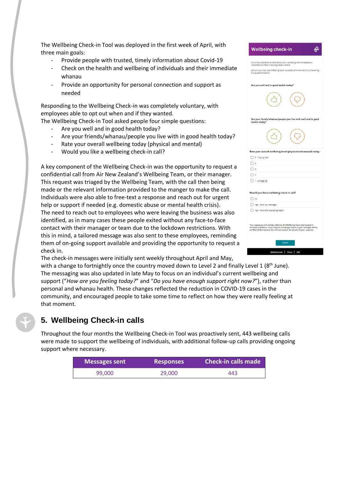The Wellbeing Check-in Tool was deployed in the first week of April, with three main goals:

- Provide people with trusted, timely information about Covid-19
- Check on the health and wellbeing of individuals and their immediate whanau
- Provide an opportunity for personal connection and support as needed

Responding to the Wellbeing Check-in was completely voluntary, with employees able to opt out when and if they wanted.

The Wellbeing Check-in Tool asked people four simple questions:

- Are you well and in good health today?
- Are your friends/whanau/people you live with in good health today?
- Rate your overall wellbeing today (physical and mental)
- Would you like a wellbeing check-in call?

A key component of the Wellbeing Check-in was the opportunity to request a confidential call from Air New Zealand's Wellbeing Team, or their manager. This request was triaged by the Wellbeing Team, with the call then being made or the relevant information provided to the manger to make the call. Individuals were also able to free-text a response and reach out for urgent help or support if needed (e.g. domestic abuse or mental health crisis). The need to reach out to employees who were leaving the business was also identified, as in many cases these people exited without any face-to-face contact with their manager or team due to the lockdown restrictions. With this in mind, a tailored message was also sent to these employees, reminding them of on-going support available and providing the opportunity to request a check in.

|   | <b>Wellbeing check-in</b>                                                                                                                                                                                                                |
|---|------------------------------------------------------------------------------------------------------------------------------------------------------------------------------------------------------------------------------------------|
| ١ | At Air New Zealand we care about your wellbeing, and it's especially<br>important to check in during times like this.<br>Let us know how you're feeling (both physically and mentally) by answering<br>the questions below:              |
|   | Are you well and in good health today?                                                                                                                                                                                                   |
|   |                                                                                                                                                                                                                                          |
|   | Are your family/whanau/people you live with well and in good<br>health today?                                                                                                                                                            |
|   |                                                                                                                                                                                                                                          |
|   | Rate your overall wellbeing level (physical and mental) today:                                                                                                                                                                           |
|   | ◯ 5 - Coping well                                                                                                                                                                                                                        |
|   | $\bigcap$ 4                                                                                                                                                                                                                              |
|   | ∩з                                                                                                                                                                                                                                       |
|   | ○ 2                                                                                                                                                                                                                                      |
|   | $\bigcirc$ 1 - Struggling                                                                                                                                                                                                                |
|   | Would you like a wellbeing check in call?                                                                                                                                                                                                |
|   | $\bigcap$ No                                                                                                                                                                                                                             |
|   | Yes - from my manager                                                                                                                                                                                                                    |
|   | () Yes - from the Wellbeing Team                                                                                                                                                                                                         |
|   | Your responses will only be visible to the Wellbeing Team and treated in<br>strictest confidence. If you request a manager check-in your manager will be<br>notified of this request, but will not receive the details of your response. |
| a | Submit                                                                                                                                                                                                                                   |
|   | Π<br>Thrive  <br>EAP<br><b>Wellbeing Hub</b>                                                                                                                                                                                             |

The check-in messages were initially sent weekly throughout April and May, with a change to fortnightly once the country moved down to Level 2 and finally Level 1 (8<sup>th</sup> June). The messaging was also updated in late May to focus on an individual's current wellbeing and

support ("*How are you feeling today?*" and "*Do you have enough support right now?*"), rather than personal and whanau health. These changes reflected the reduction in COVID-19 cases in the community, and encouraged people to take some time to reflect on how they were really feeling at that moment.

# **5. Wellbeing Check-in calls**

Throughout the four months the Wellbeing Check-in Tool was proactively sent, 443 wellbeing calls were made to support the wellbeing of individuals, with additional follow-up calls providing ongoing support where necessary.

| <b>Messages sent</b> | <b>Responses</b> | <b>Check-in calls made</b> |
|----------------------|------------------|----------------------------|
| 99.000               | 29,000           | 443                        |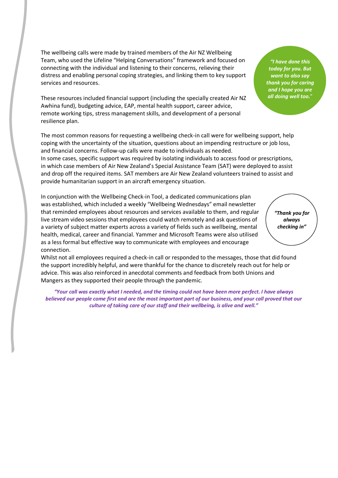The wellbeing calls were made by trained members of the Air NZ Wellbeing Team, who used the Lifeline "Helping Conversations" framework and focused on connecting with the individual and listening to their concerns, relieving their distress and enabling personal coping strategies, and linking them to key support services and resources.

These resources included financial support (including the specially created Air NZ Awhina fund), budgeting advice, EAP, mental health support, career advice, remote working tips, stress management skills, and development of a personal resilience plan.

The most common reasons for requesting a wellbeing check-in call were for wellbeing support, help coping with the uncertainty of the situation, questions about an impending restructure or job loss, and financial concerns. Follow-up calls were made to individuals as needed.

In some cases, specific support was required by isolating individuals to access food or prescriptions, in which case members of Air New Zealand's Special Assistance Team (SAT) were deployed to assist and drop off the required items. SAT members are Air New Zealand volunteers trained to assist and provide humanitarian support in an aircraft emergency situation.

In conjunction with the Wellbeing Check-in Tool, a dedicated communications plan was established, which included a weekly "Wellbeing Wednesdays" email newsletter that reminded employees about resources and services available to them, and regular live stream video sessions that employees could watch remotely and ask questions of a variety of subject matter experts across a variety of fields such as wellbeing, mental health, medical, career and financial. Yammer and Microsoft Teams were also utilised as a less formal but effective way to communicate with employees and encourage connection.

*"Thank you for always checking in"*

Whilst not all employees required a check-in call or responded to the messages, those that did found the support incredibly helpful, and were thankful for the chance to discretely reach out for help or advice. This was also reinforced in anecdotal comments and feedback from both Unions and Mangers as they supported their people through the pandemic.

*"Your call was exactly what I needed, and the timing could not have been more perfect. I have always*  believed our people come first and are the most important part of our business, and your call proved that our *culture of taking care of our staff and their wellbeing, is alive and well."*

*"I have done this today for you. But want to also say thank you for caring and I hope you are all doing well too.*"

*Activate! participant*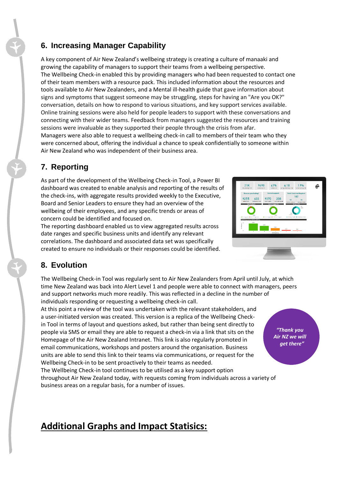# **6. Increasing Manager Capability**

A key component of Air New Zealand's wellbeing strategy is creating a culture of manaaki and growing the capability of managers to support their teams from a wellbeing perspective. The Wellbeing Check-in enabled this by providing managers who had been requested to contact one of their team members with a resource pack. This included information about the resources and tools available to Air New Zealanders, and a Mental ill-health guide that gave information about signs and symptoms that suggest someone may be struggling, steps for having an "Are you OK?" conversation, details on how to respond to various situations, and key support services available. Online training sessions were also held for people leaders to support with these conversations and connecting with their wider teams. Feedback from managers suggested the resources and training sessions were invaluable as they supported their people through the crisis from afar. Managers were also able to request a wellbeing check-in call to members of their team who they were concerned about, offering the individual a chance to speak confidentially to someone within Air New Zealand who was independent of their business area.

# **7. Reporting**

As part of the development of the Wellbeing Check-in Tool, a Power BI dashboard was created to enable analysis and reporting of the results of the check-ins, with aggregate results provided weekly to the Executive, Board and Senior Leaders to ensure they had an overview of the wellbeing of their employees, and any specific trends or areas of concern could be identified and focused on.

The reporting dashboard enabled us to view aggregated results across date ranges and specific business units and identify any relevant correlations. The dashboard and associated data set was specifically created to ensure no individuals or their responses could be identified.



*"Thank you Air NZ we will get there"*

# **8. Evolution**

The Wellbeing Check-in Tool was regularly sent to Air New Zealanders from April until July, at which time New Zealand was back into Alert Level 1 and people were able to connect with managers, peers and support networks much more readily. This was reflected in a decline in the number of individuals responding or requesting a wellbeing check-in call.

At this point a review of the tool was undertaken with the relevant stakeholders, and a user-initiated version was created. This version is a replica of the Wellbeing Checkin Tool in terms of layout and questions asked, but rather than being sent directly to people via SMS or email they are able to request a check-in via a link that sits on the Homepage of the Air New Zealand Intranet. This link is also regularly promoted in email communications, workshops and posters around the organisation. Business units are able to send this link to their teams via communications, or request for the Wellbeing Check-in to be sent proactively to their teams as needed.

The Wellbeing Check-in tool continues to be utilised as a key support option throughout Air New Zealand today, with requests coming from individuals across a variety of business areas on a regular basis, for a number of issues.

# **Additional Graphs and Impact Statisics:**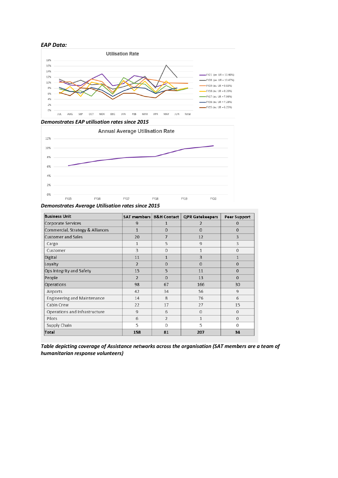#### *EAP Data:*



*Demonstrates EAP utilisation rates since 2015*



*Demonstrates Average Utilisation rates since 2015*

| <b>Business Unit</b>               | SAT members   B&H Contact |                | <b>QPR Gatekeepers</b> | <b>Peer Support</b> |
|------------------------------------|---------------------------|----------------|------------------------|---------------------|
| Corporate Services                 | 9                         | 1              | $\overline{2}$         | $\mathbf{0}$        |
| Commercial, Strategy & Alliances   | $\mathbf{1}$              | $\Omega$       | $\Omega$               | $\mathbf 0$         |
| Customer and Sales                 | 20                        | 7              | 12                     | 3                   |
| Cargo                              | 1                         | 5              | 9                      | 3                   |
| Customer                           | 3                         | $\Omega$       | 1                      | $\mathbf 0$         |
| Digital                            | 11                        | $\mathbf{1}$   | $\overline{3}$         | $\mathbf{1}$        |
| Loyalty                            | $\overline{2}$            | $\mathbf{0}$   | $\overline{0}$         | $\mathbf 0$         |
| Ops Integrity and Safety           | 15                        | 5              | 11                     | $\mathbf 0$         |
| People                             | $\overline{2}$            | $\Omega$       | 13                     | $\mathbf{0}$        |
| Operations                         | 98                        | 67             | 166                    | 30                  |
| Airports                           | 42                        | 34             | 56                     | 9                   |
| <b>Engineering and Maintenance</b> | 14                        | 8              | 76                     | 6                   |
| Cabin Crew                         | 22                        | 17             | 27                     | 15                  |
| Operations and Infrastructure      | 9                         | 6              | $\Omega$               | $\mathbf 0$         |
| Pilots                             | 6                         | $\overline{2}$ | $\mathbf{1}$           | 0                   |
| Supply Chain                       | 5                         | $\Omega$       | 5                      | 0                   |
| Total                              | 158                       | 81             | 207                    | 34                  |

*Table depicting coverage of Assistance networks across the organisation (SAT members are a team of humanitarian response volunteers)*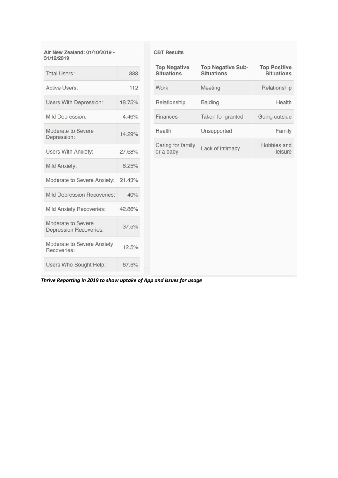Air New Zealand: 01/10/2019 -<br>31/12/2019

| <b>Total Users:</b>                                 | 888    |
|-----------------------------------------------------|--------|
| <b>Active Users:</b>                                | 112    |
| <b>Users With Depression:</b>                       | 18.75% |
| <b>Mild Depression:</b>                             | 4.46%  |
| Moderate to Severe<br>Depression:                   | 14.29% |
| <b>Users With Anxiety:</b>                          | 27.68% |
| Mild Anxiety:                                       | 6.25%  |
| Moderate to Severe Anxiety: 21.43%                  |        |
| <b>Mild Depression Recoveries:</b>                  | 40%    |
| <b>Mild Anxiety Recoveries:</b>                     | 42.86% |
| Moderate to Severe<br><b>Depression Recoveries:</b> | 37.5%  |
| Moderate to Severe Anxiety<br>Recoveries:           | 12.5%  |
| Users Who Sought Help:                              | 67.5%  |

#### **CBT Results**

| <b>Top Negative</b><br><b>Situations</b> | <b>Top Negative Sub-</b><br><b>Situations</b> | <b>Top Positive</b><br><b>Situations</b> |
|------------------------------------------|-----------------------------------------------|------------------------------------------|
| Work                                     | Meeting                                       | Relationship                             |
| Relationship                             | <b>Balding</b>                                | Health                                   |
| Finances                                 | Taken for granted                             | Going outside                            |
| Health                                   | Unsupported                                   | Family                                   |
| Caring for family<br>or a baby           | Lack of intimacy                              | Hobbies and<br>leisure                   |

*Thrive Reporting in 2019 to show uptake of App and issues for usage*